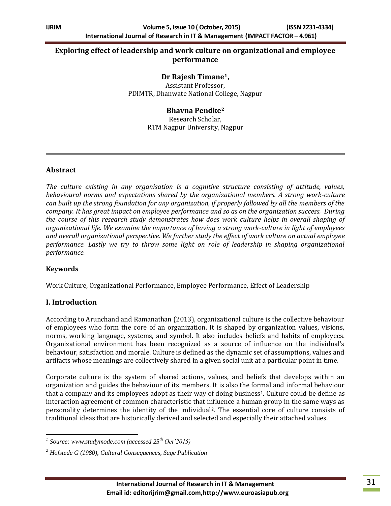## **Exploring effect of leadership and work culture on organizational and employee performance**

#### **Dr Rajesh Timane1,**

Assistant Professor, PDIMTR, Dhanwate National College, Nagpur

#### **Bhavna Pendke<sup>2</sup>**

Research Scholar, RTM Nagpur University, Nagpur

#### **Abstract**

*The culture existing in any organisation is a cognitive structure consisting of attitude, values, behavioural norms and expectations shared by the organizational members. A strong work-culture can built up the strong foundation for any organization, if properly followed by all the members of the company. It has great impact on employee performance and so as on the organization success. During the course of this research study demonstrates how does work culture helps in overall shaping of organizational life. We examine the importance of having a strong work-culture in light of employees and overall organizational perspective. We further study the effect of work culture on actual employee performance. Lastly we try to throw some light on role of leadership in shaping organizational performance.* 

#### **Keywords**

Work Culture, Organizational Performance, Employee Performance, Effect of Leadership

### **I. Introduction**

According to Arunchand and Ramanathan (2013), organizational culture is the collective behaviour of employees who form the core of an organization. It is shaped by organization values, visions, norms, working language, systems, and symbol. It also includes beliefs and habits of employees. Organizational environment has been recognized as a source of influence on the individual's behaviour, satisfaction and morale. Culture is defined as the dynamic set of assumptions, values and artifacts whose meanings are collectively shared in a given social unit at a particular point in time.

Corporate culture is the system of shared actions, values, and beliefs that develops within an organization and guides the behaviour of its members. It is also the formal and informal behaviour that a company and its employees adopt as their way of doing business<sup>1</sup>. Culture could be define as interaction agreement of common characteristic that influence a human group in the same ways as personality determines the identity of the individual2. The essential core of culture consists of traditional ideas that are historically derived and selected and especially their attached values.

 *1 Source: www.studymode.com (accessed 25th Oct'2015)*

*<sup>2</sup> Hofstede G (1980), Cultural Consequences, Sage Publication*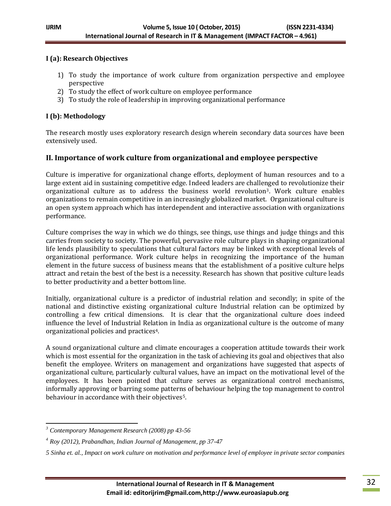#### **I (a): Research Objectives**

- 1) To study the importance of work culture from organization perspective and employee perspective
- 2) To study the effect of work culture on employee performance
- 3) To study the role of leadership in improving organizational performance

## **I (b): Methodology**

The research mostly uses exploratory research design wherein secondary data sources have been extensively used.

## **II. Importance of work culture from organizational and employee perspective**

Culture is imperative for organizational change efforts, deployment of human resources and to a large extent aid in sustaining competitive edge. Indeed leaders are challenged to revolutionize their organizational culture as to address the business world revolution3. Work culture enables organizations to remain competitive in an increasingly globalized market. Organizational culture is an open system approach which has interdependent and interactive association with organizations performance.

Culture comprises the way in which we do things, see things, use things and judge things and this carries from society to society. The powerful, pervasive role culture plays in shaping organizational life lends plausibility to speculations that cultural factors may be linked with exceptional levels of organizational performance. Work culture helps in recognizing the importance of the human element in the future success of business means that the establishment of a positive culture helps attract and retain the best of the best is a necessity. Research has shown that positive culture leads to better productivity and a better bottom line.

Initially, organizational culture is a predictor of industrial relation and secondly; in spite of the national and distinctive existing organizational culture Industrial relation can be optimized by controlling a few critical dimensions. It is clear that the organizational culture does indeed influence the level of Industrial Relation in India as organizational culture is the outcome of many organizational policies and practices4.

A sound organizational culture and climate encourages a cooperation attitude towards their work which is most essential for the organization in the task of achieving its goal and objectives that also benefit the employee. Writers on management and organizations have suggested that aspects of organizational culture, particularly cultural values, have an impact on the motivational level of the employees. It has been pointed that culture serves as organizational control mechanisms, informally approving or barring some patterns of behaviour helping the top management to control behaviour in accordance with their objectives<sup>5</sup>.

 $\overline{a}$ 

*<sup>3</sup> Contemporary Management Research (2008) pp 43-56*

*<sup>4</sup> Roy (2012), Prabandhan, Indian Journal of Management, pp 37-47*

*<sup>5</sup> Sinha et. al., Impact on work culture on motivation and performance level of employee in private sector companies*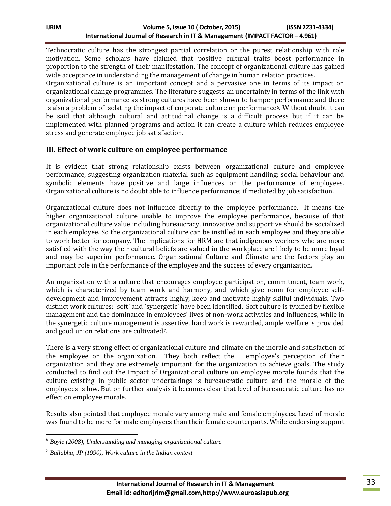Technocratic culture has the strongest partial correlation or the purest relationship with role motivation. Some scholars have claimed that positive cultural traits boost performance in proportion to the strength of their manifestation. The concept of organizational culture has gained wide acceptance in understanding the management of change in human relation practices.

Organizational culture is an important concept and a pervasive one in terms of its impact on organizational change programmes. The literature suggests an uncertainty in terms of the link with organizational performance as strong cultures have been shown to hamper performance and there is also a problem of isolating the impact of corporate culture on performance<sup>6</sup>. Without doubt it can be said that although cultural and attitudinal change is a difficult process but if it can be implemented with planned programs and action it can create a culture which reduces employee stress and generate employee job satisfaction.

### **III. Effect of work culture on employee performance**

It is evident that strong relationship exists between organizational culture and employee performance, suggesting organization material such as equipment handling; social behaviour and symbolic elements have positive and large influences on the performance of employees. Organizational culture is no doubt able to influence performance; if mediated by job satisfaction.

Organizational culture does not influence directly to the employee performance. It means the higher organizational culture unable to improve the employee performance, because of that organizational culture value including bureaucracy, innovative and supportive should be socialized in each employee. So the organizational culture can be instilled in each employee and they are able to work better for company. The implications for HRM are that indigenous workers who are more satisfied with the way their cultural beliefs are valued in the workplace are likely to be more loyal and may be superior performance. Organizational Culture and Climate are the factors play an important role in the performance of the employee and the success of every organization.

An organization with a culture that encourages employee participation, commitment, team work, which is characterized by team work and harmony, and which give room for employee selfdevelopment and improvement attracts highly, keep and motivate highly skilful individuals. Two distinct work cultures: `soft' and `synergetic' have been identified. Soft culture is typified by flexible management and the dominance in employees' lives of non-work activities and influences, while in the synergetic culture management is assertive, hard work is rewarded, ample welfare is provided and good union relations are cultivated7.

There is a very strong effect of organizational culture and climate on the morale and satisfaction of the employee on the organization. They both reflect the employee's perception of their organization and they are extremely important for the organization to achieve goals. The study conducted to find out the Impact of Organizational culture on employee morale founds that the culture existing in public sector undertakings is bureaucratic culture and the morale of the employees is low. But on further analysis it becomes clear that level of bureaucratic culture has no effect on employee morale.

Results also pointed that employee morale vary among male and female employees. Level of morale was found to be more for male employees than their female counterparts. While endorsing support

 $\overline{a}$ *<sup>6</sup> Boyle (2008), Understanding and managing organizational culture*

*<sup>7</sup> Ballabha, JP (1990), Work culture in the Indian context*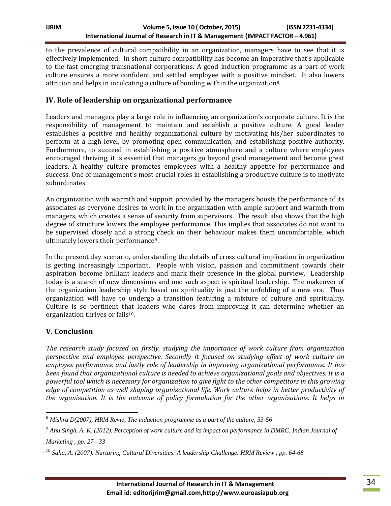to the prevalence of cultural compatibility in an organization, managers have to see that it is effectively implemented. In short culture compatibility has become an imperative that's applicable to the fast emerging transnational corporations. A good induction programme as a part of work culture ensures a more confident and settled employee with a positive mindset. It also lowers attrition and helps in inculcating a culture of bonding within the organization8.

# **IV. Role of leadership on organizational performance**

Leaders and managers play a large role in influencing an organization's corporate culture. It is the responsibility of management to maintain and establish a positive culture. A good leader establishes a positive and healthy organizational culture by motivating his/her subordinates to perform at a high level, by promoting open communication, and establishing positive authority. Furthermore, to succeed in establishing a positive atmosphere and a culture where employees encouraged thriving, it is essential that managers go beyond good management and become great leaders. A healthy culture promotes employees with a healthy appetite for performance and success. One of management's most crucial roles in establishing a productive culture is to motivate subordinates.

An organization with warmth and support provided by the managers boosts the performance of its associates as everyone desires to work in the organization with ample support and warmth from managers, which creates a sense of security from supervisors. The result also shows that the high degree of structure lowers the employee performance. This implies that associates do not want to be supervised closely and a strong check on their behaviour makes them uncomfortable, which ultimately lowers their performance9.

In the present day scenario, understanding the details of cross cultural implication in organization is getting increasingly important. People with vision, passion and commitment towards their aspiration become brilliant leaders and mark their presence in the global purview. Leadership today is a search of new dimensions and one such aspect is spiritual leadership. The makeover of the organization leadership style based on spirituality is just the unfolding of a new era. Thus organization will have to undergo a transition featuring a mixture of culture and spirituality. Culture is so pertinent that leaders who dares from improving it can determine whether an organization thrives or fails10.

### **V. Conclusion**

*The research study focused on firstly, studying the importance of work culture from organization perspective and employee perspective. Secondly it focused on studying effect of work culture on employee performance and lastly role of leadership in improving organizational performance. It has been found that organizational culture is needed to achieve organizational goals and objectives. It is a powerful tool which is necessary for organization to give fight to the other competitors in this growing edge of competition as well shaping organizational life. Work culture helps in better productivity of the organization. It is the outcome of policy formulation for the other organizations. It helps in* 

 $\overline{\phantom{a}}$ *<sup>8</sup> Mishra D(2007), HRM Revie, The induction programme as a part of the culture, 53-56*

*<sup>9</sup> Anu Singh, A. K. (2012). Perception of work culture and its impact on performance in DMRC. Indian Journal of Marketing , pp. 27 - 33*

*<sup>10</sup> Saha, A. (2007). Nurturing Cultural Diversities: A leadership Challenge. HRM Review , pp. 64-68*